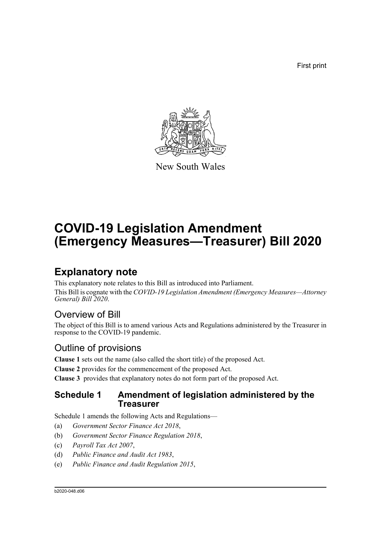First print



New South Wales

# **COVID-19 Legislation Amendment (Emergency Measures—Treasurer) Bill 2020**

## **Explanatory note**

This explanatory note relates to this Bill as introduced into Parliament. This Bill is cognate with the *COVID-19 Legislation Amendment (Emergency Measures—Attorney General) Bill 2020*.

## Overview of Bill

The object of this Bill is to amend various Acts and Regulations administered by the Treasurer in response to the COVID-19 pandemic.

## Outline of provisions

**Clause 1** sets out the name (also called the short title) of the proposed Act.

**Clause 2** provides for the commencement of the proposed Act.

**Clause 3** provides that explanatory notes do not form part of the proposed Act.

### **Schedule 1 Amendment of legislation administered by the Treasurer**

Schedule 1 amends the following Acts and Regulations—

- (a) *Government Sector Finance Act 2018*,
- (b) *Government Sector Finance Regulation 2018*,
- (c) *Payroll Tax Act 2007*,
- (d) *Public Finance and Audit Act 1983*,
- (e) *Public Finance and Audit Regulation 2015*,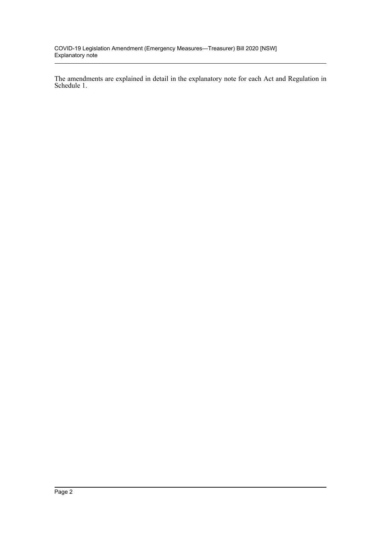The amendments are explained in detail in the explanatory note for each Act and Regulation in Schedule 1.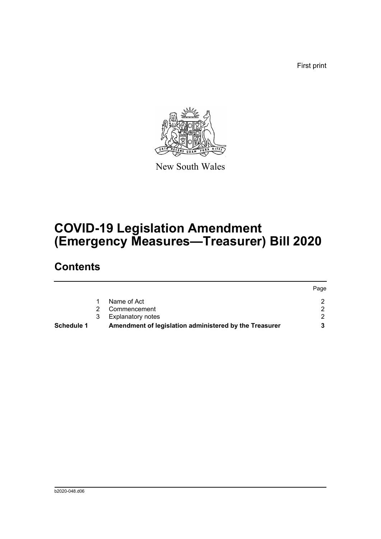First print



New South Wales

# **COVID-19 Legislation Amendment (Emergency Measures—Treasurer) Bill 2020**

## **Contents**

|                   |   |                                                        | Page |
|-------------------|---|--------------------------------------------------------|------|
|                   |   | Name of Act                                            |      |
|                   |   | Commencement                                           |      |
|                   | 3 | <b>Explanatory notes</b>                               |      |
| <b>Schedule 1</b> |   | Amendment of legislation administered by the Treasurer |      |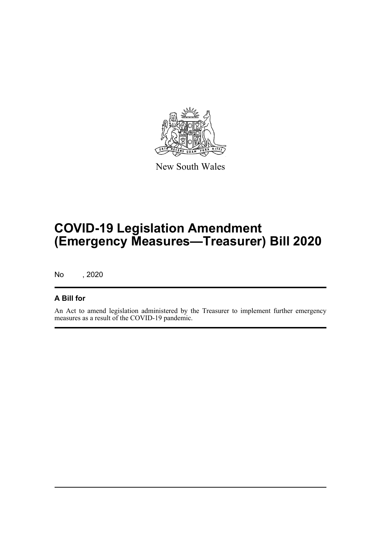

New South Wales

# **COVID-19 Legislation Amendment (Emergency Measures—Treasurer) Bill 2020**

No , 2020

### **A Bill for**

An Act to amend legislation administered by the Treasurer to implement further emergency measures as a result of the COVID-19 pandemic.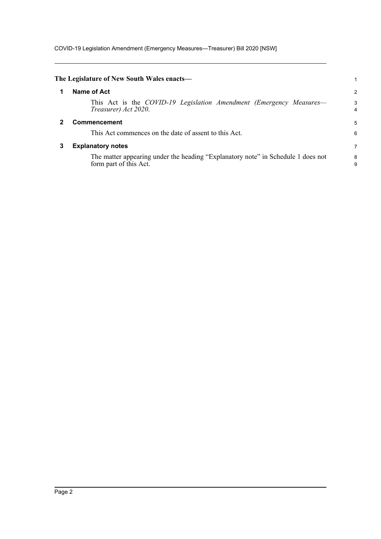COVID-19 Legislation Amendment (Emergency Measures—Treasurer) Bill 2020 [NSW]

<span id="page-4-2"></span><span id="page-4-1"></span><span id="page-4-0"></span>

|   | The Legislature of New South Wales enacts-                                                                 |        |
|---|------------------------------------------------------------------------------------------------------------|--------|
|   | Name of Act                                                                                                | 2      |
|   | This Act is the COVID-19 Legislation Amendment (Emergency Measures—<br>Treasurer) Act 2020.                | 3<br>4 |
|   | Commencement                                                                                               | 5      |
|   | This Act commences on the date of assent to this Act.                                                      | 6      |
| 3 | <b>Explanatory notes</b>                                                                                   | 7      |
|   | The matter appearing under the heading "Explanatory note" in Schedule 1 does not<br>form part of this Act. | 8<br>9 |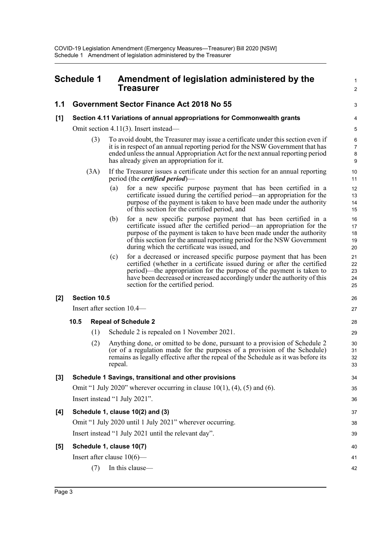<span id="page-5-0"></span>

|       | <b>Schedule 1</b>                                                        |              |         | Amendment of legislation administered by the<br>Treasurer                                                                                                                                                                                                                                                                                    | 1<br>2                        |
|-------|--------------------------------------------------------------------------|--------------|---------|----------------------------------------------------------------------------------------------------------------------------------------------------------------------------------------------------------------------------------------------------------------------------------------------------------------------------------------------|-------------------------------|
| 1.1   |                                                                          |              |         | Government Sector Finance Act 2018 No 55                                                                                                                                                                                                                                                                                                     | 3                             |
| $[1]$ | Section 4.11 Variations of annual appropriations for Commonwealth grants |              |         | 4                                                                                                                                                                                                                                                                                                                                            |                               |
|       |                                                                          |              |         | Omit section 4.11(3). Insert instead—                                                                                                                                                                                                                                                                                                        | 5                             |
|       |                                                                          | (3)          |         | To avoid doubt, the Treasurer may issue a certificate under this section even if<br>it is in respect of an annual reporting period for the NSW Government that has<br>ended unless the annual Appropriation Act for the next annual reporting period<br>has already given an appropriation for it.                                           | 6<br>$\overline{7}$<br>8<br>9 |
|       |                                                                          | (3A)         |         | If the Treasurer issues a certificate under this section for an annual reporting<br>period (the <i>certified period</i> )—                                                                                                                                                                                                                   | $10$<br>11                    |
|       |                                                                          |              | (a)     | for a new specific purpose payment that has been certified in a<br>certificate issued during the certified period—an appropriation for the<br>purpose of the payment is taken to have been made under the authority<br>of this section for the certified period, and                                                                         | 12<br>13<br>14<br>15          |
|       |                                                                          |              | (b)     | for a new specific purpose payment that has been certified in a<br>certificate issued after the certified period—an appropriation for the<br>purpose of the payment is taken to have been made under the authority<br>of this section for the annual reporting period for the NSW Government<br>during which the certificate was issued, and | 16<br>17<br>18<br>19<br>20    |
|       |                                                                          |              | (c)     | for a decreased or increased specific purpose payment that has been<br>certified (whether in a certificate issued during or after the certified<br>period)—the appropriation for the purpose of the payment is taken to<br>have been decreased or increased accordingly under the authority of this<br>section for the certified period.     | 21<br>22<br>23<br>24<br>25    |
| [2]   |                                                                          | Section 10.5 |         |                                                                                                                                                                                                                                                                                                                                              | 26                            |
|       |                                                                          |              |         | Insert after section 10.4—                                                                                                                                                                                                                                                                                                                   | 27                            |
|       | 10.5                                                                     |              |         | <b>Repeal of Schedule 2</b>                                                                                                                                                                                                                                                                                                                  | 28                            |
|       |                                                                          | (1)          |         | Schedule 2 is repealed on 1 November 2021.                                                                                                                                                                                                                                                                                                   | 29                            |
|       |                                                                          | (2)          | repeal. | Anything done, or omitted to be done, pursuant to a provision of Schedule 2<br>(or of a regulation made for the purposes of a provision of the Schedule)<br>remains as legally effective after the repeal of the Schedule as it was before its                                                                                               | 30<br>31<br>32<br>33          |
| $[3]$ |                                                                          |              |         | Schedule 1 Savings, transitional and other provisions                                                                                                                                                                                                                                                                                        | 34                            |
|       |                                                                          |              |         | Omit "1 July 2020" wherever occurring in clause $10(1)$ , $(4)$ , $(5)$ and $(6)$ .                                                                                                                                                                                                                                                          | 35                            |
|       |                                                                          |              |         | Insert instead "1 July 2021".                                                                                                                                                                                                                                                                                                                | 36                            |
| [4]   |                                                                          |              |         | Schedule 1, clause 10(2) and (3)                                                                                                                                                                                                                                                                                                             | 37                            |
|       |                                                                          |              |         | Omit "1 July 2020 until 1 July 2021" wherever occurring.                                                                                                                                                                                                                                                                                     | 38                            |
|       |                                                                          |              |         | Insert instead "1 July 2021 until the relevant day".                                                                                                                                                                                                                                                                                         | 39                            |
| [5]   |                                                                          |              |         | Schedule 1, clause 10(7)                                                                                                                                                                                                                                                                                                                     | 40                            |
|       |                                                                          |              |         | Insert after clause $10(6)$ —                                                                                                                                                                                                                                                                                                                | 41                            |
|       |                                                                          | (7)          |         | In this clause-                                                                                                                                                                                                                                                                                                                              | 42                            |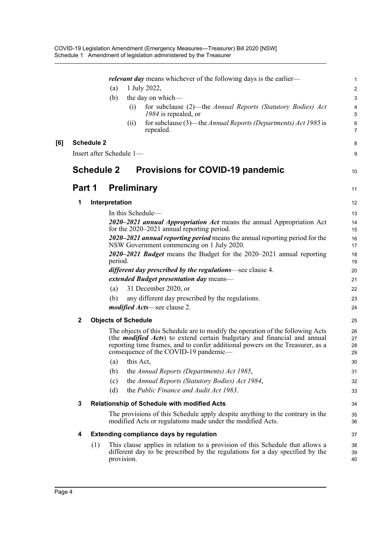|     |             |                   | (a)<br>(b)                 | (i)                | relevant day means whichever of the following days is the earlier-<br>1 July 2022,<br>the day on which—<br>for subclause (2)—the Annual Reports (Statutory Bodies) Act<br>1984 is repealed, or                                                                                               | 1<br>2<br>3<br>4<br>5 |
|-----|-------------|-------------------|----------------------------|--------------------|----------------------------------------------------------------------------------------------------------------------------------------------------------------------------------------------------------------------------------------------------------------------------------------------|-----------------------|
|     |             |                   |                            | (11)               | for subclause (3)—the Annual Reports (Departments) Act 1985 is<br>repealed.                                                                                                                                                                                                                  | 6<br>$\overline{7}$   |
| [6] |             | <b>Schedule 2</b> | Insert after Schedule 1-   |                    |                                                                                                                                                                                                                                                                                              | 8<br>9                |
|     |             | <b>Schedule 2</b> |                            |                    | <b>Provisions for COVID-19 pandemic</b>                                                                                                                                                                                                                                                      | 10                    |
|     | Part 1      |                   |                            | <b>Preliminary</b> |                                                                                                                                                                                                                                                                                              | 11                    |
|     | 1           |                   | Interpretation             |                    |                                                                                                                                                                                                                                                                                              | 12                    |
|     |             |                   |                            |                    | In this Schedule-                                                                                                                                                                                                                                                                            | 13                    |
|     |             |                   |                            |                    | 2020–2021 annual Appropriation Act means the annual Appropriation Act<br>for the 2020–2021 annual reporting period.                                                                                                                                                                          | 14<br>15              |
|     |             |                   |                            |                    | 2020–2021 annual reporting period means the annual reporting period for the<br>NSW Government commencing on 1 July 2020.                                                                                                                                                                     | 16<br>17              |
|     |             |                   | period.                    |                    | 2020–2021 Budget means the Budget for the 2020–2021 annual reporting                                                                                                                                                                                                                         | 18<br>19              |
|     |             |                   |                            |                    | <i>different day prescribed by the regulations</i> —see clause 4.                                                                                                                                                                                                                            | 20                    |
|     |             |                   |                            |                    | extended Budget presentation day means-                                                                                                                                                                                                                                                      | 21                    |
|     |             |                   | (a)                        |                    | 31 December 2020, or                                                                                                                                                                                                                                                                         | 22                    |
|     |             |                   | (b)                        |                    | any different day prescribed by the regulations.                                                                                                                                                                                                                                             | 23                    |
|     |             |                   |                            |                    | <i>modified Acts</i> —see clause 2.                                                                                                                                                                                                                                                          | 24                    |
|     | $\mathbf 2$ |                   | <b>Objects of Schedule</b> |                    |                                                                                                                                                                                                                                                                                              | 25                    |
|     |             |                   |                            |                    | The objects of this Schedule are to modify the operation of the following Acts<br>(the <i>modified Acts</i> ) to extend certain budgetary and financial and annual<br>reporting time frames, and to confer additional powers on the Treasurer, as a<br>consequence of the COVID-19 pandemic— | 26<br>27<br>28<br>29  |
|     |             |                   | (a)                        | this Act,          |                                                                                                                                                                                                                                                                                              | 30                    |
|     |             |                   | (b)                        |                    | the Annual Reports (Departments) Act 1985,                                                                                                                                                                                                                                                   | 31                    |
|     |             |                   | (c)                        |                    | the Annual Reports (Statutory Bodies) Act 1984,                                                                                                                                                                                                                                              | 32                    |
|     |             |                   | (d)                        |                    | the Public Finance and Audit Act 1983.                                                                                                                                                                                                                                                       | 33                    |
|     | 3           |                   |                            |                    | Relationship of Schedule with modified Acts                                                                                                                                                                                                                                                  | 34                    |
|     |             |                   |                            |                    | The provisions of this Schedule apply despite anything to the contrary in the<br>modified Acts or regulations made under the modified Acts.                                                                                                                                                  | 35<br>36              |
|     | 4           |                   |                            |                    | <b>Extending compliance days by regulation</b>                                                                                                                                                                                                                                               | 37                    |
|     |             | (1)               | provision.                 |                    | This clause applies in relation to a provision of this Schedule that allows a<br>different day to be prescribed by the regulations for a day specified by the                                                                                                                                | 38<br>39<br>40        |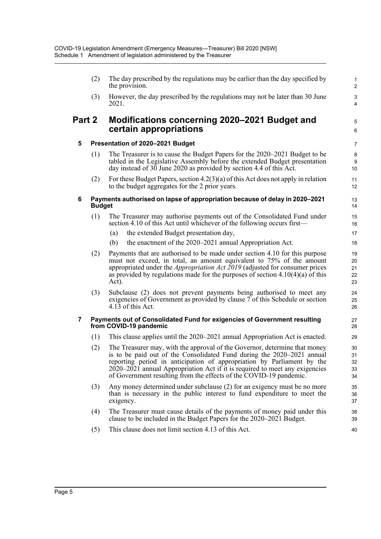|                | (2)           | The day prescribed by the regulations may be earlier than the day specified by<br>the provision.                                                                                                                                                                                                                                                                                      | $\mathbf{1}$<br>$\overline{2}$ |
|----------------|---------------|---------------------------------------------------------------------------------------------------------------------------------------------------------------------------------------------------------------------------------------------------------------------------------------------------------------------------------------------------------------------------------------|--------------------------------|
|                | (3)           | However, the day prescribed by the regulations may not be later than 30 June<br>2021.                                                                                                                                                                                                                                                                                                 | $\ensuremath{\mathsf{3}}$<br>4 |
| Part 2         |               | Modifications concerning 2020–2021 Budget and<br>certain appropriations                                                                                                                                                                                                                                                                                                               | 5<br>$\,6\,$                   |
| 5              |               | Presentation of 2020-2021 Budget                                                                                                                                                                                                                                                                                                                                                      | $\overline{7}$                 |
|                | (1)           | The Treasurer is to cause the Budget Papers for the 2020–2021 Budget to be<br>tabled in the Legislative Assembly before the extended Budget presentation<br>day instead of 30 June 2020 as provided by section 4.4 of this Act.                                                                                                                                                       | 8<br>9<br>10                   |
|                | (2)           | For these Budget Papers, section $4.2(3)(a)$ of this Act does not apply in relation<br>to the budget aggregates for the 2 prior years.                                                                                                                                                                                                                                                | 11<br>12                       |
| 6              | <b>Budget</b> | Payments authorised on lapse of appropriation because of delay in 2020-2021                                                                                                                                                                                                                                                                                                           | 13<br>14                       |
|                | (1)           | The Treasurer may authorise payments out of the Consolidated Fund under<br>section 4.10 of this Act until whichever of the following occurs first—                                                                                                                                                                                                                                    | 15<br>16                       |
|                |               | the extended Budget presentation day,<br>(a)                                                                                                                                                                                                                                                                                                                                          | 17                             |
|                |               | the enactment of the 2020–2021 annual Appropriation Act.<br>(b)                                                                                                                                                                                                                                                                                                                       | 18                             |
|                | (2)           | Payments that are authorised to be made under section 4.10 for this purpose<br>must not exceed, in total, an amount equivalent to 75% of the amount<br>appropriated under the <i>Appropriation Act</i> $2019$ (adjusted for consumer prices<br>as provided by regulations made for the purposes of section $4.10(4)(a)$ of this<br>Act).                                              | 19<br>20<br>21<br>22<br>23     |
|                | (3)           | Subclause (2) does not prevent payments being authorised to meet any<br>exigencies of Government as provided by clause 7 of this Schedule or section<br>$4.13$ of this Act.                                                                                                                                                                                                           | 24<br>25<br>26                 |
| $\overline{7}$ |               | Payments out of Consolidated Fund for exigencies of Government resulting<br>from COVID-19 pandemic                                                                                                                                                                                                                                                                                    | 27<br>28                       |
|                | (1)           | This clause applies until the 2020–2021 annual Appropriation Act is enacted.                                                                                                                                                                                                                                                                                                          | 29                             |
|                | (2)           | The Treasurer may, with the approval of the Governor, determine that money<br>is to be paid out of the Consolidated Fund during the 2020-2021 annual<br>reporting period in anticipation of appropriation by Parliament by the<br>$2020-2021$ annual Appropriation Act if it is required to meet any exigencies<br>of Government resulting from the effects of the COVID-19 pandemic. | 30<br>31<br>32<br>33<br>34     |
|                | (3)           | Any money determined under subclause (2) for an exigency must be no more<br>than is necessary in the public interest to fund expenditure to meet the<br>exigency.                                                                                                                                                                                                                     | 35<br>36<br>37                 |
|                | (4)           | The Treasurer must cause details of the payments of money paid under this<br>clause to be included in the Budget Papers for the 2020–2021 Budget.                                                                                                                                                                                                                                     | 38<br>39                       |

40

(5) This clause does not limit section 4.13 of this Act.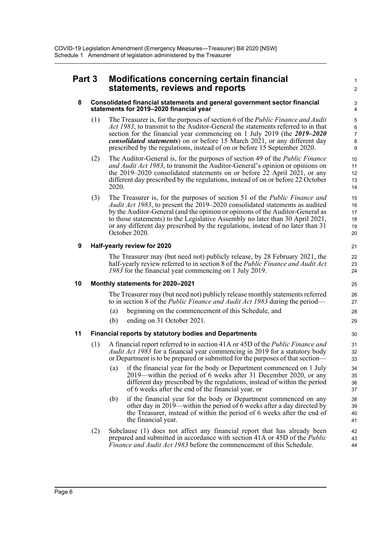### **Part 3 Modifications concerning certain financial statements, reviews and reports**

#### **8 Consolidated financial statements and general government sector financial statements for 2019–2020 financial year**

(1) The Treasurer is, for the purposes of section 6 of the *Public Finance and Audit Act 1983*, to transmit to the Auditor-General the statements referred to in that section for the financial year commencing on 1 July 2019 (the *2019–2020 consolidated statements*) on or before 15 March 2021, or any different day prescribed by the regulations, instead of on or before 15 September 2020.

1  $\overline{2}$ 

- (2) The Auditor-General is, for the purposes of section 49 of the *Public Finance and Audit Act 1983*, to transmit the Auditor-General's opinion or opinions on the 2019–2020 consolidated statements on or before 22 April 2021, or any different day prescribed by the regulations, instead of on or before 22 October 2020.
- (3) The Treasurer is, for the purposes of section 51 of the *Public Finance and Audit Act 1983*, to present the 2019–2020 consolidated statements as audited by the Auditor-General (and the opinion or opinions of the Auditor-General as to those statements) to the Legislative Assembly no later than 30 April 2021, or any different day prescribed by the regulations, instead of no later than 31 October 2020.

### **9 Half-yearly review for 2020**

The Treasurer may (but need not) publicly release, by 28 February 2021, the half-yearly review referred to in section 8 of the *Public Finance and Audit Act 1983* for the financial year commencing on 1 July 2019.

#### **10 Monthly statements for 2020–2021**

The Treasurer may (but need not) publicly release monthly statements referred to in section 8 of the *Public Finance and Audit Act 1983* during the period—

- (a) beginning on the commencement of this Schedule, and
- (b) ending on 31 October 2021.

#### **11 Financial reports by statutory bodies and Departments**

- (1) A financial report referred to in section 41A or 45D of the *Public Finance and Audit Act 1983* for a financial year commencing in 2019 for a statutory body or Department is to be prepared or submitted for the purposes of that section—
	- (a) if the financial year for the body or Department commenced on 1 July 2019—within the period of 6 weeks after 31 December 2020, or any different day prescribed by the regulations, instead of within the period of 6 weeks after the end of the financial year, or
	- (b) if the financial year for the body or Department commenced on any other day in 2019—within the period of 6 weeks after a day directed by the Treasurer, instead of within the period of 6 weeks after the end of the financial year.
- (2) Subclause (1) does not affect any financial report that has already been prepared and submitted in accordance with section 41A or 45D of the *Public Finance and Audit Act 1983* before the commencement of this Schedule.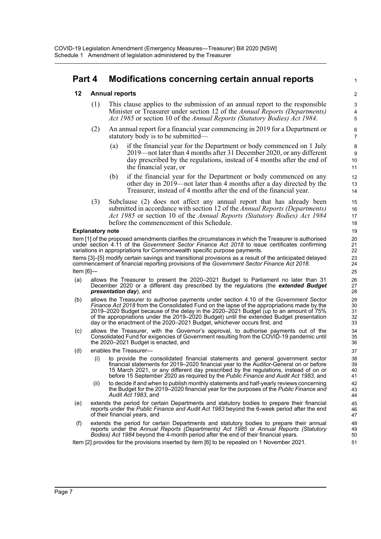## **Part 4 Modifications concerning certain annual reports**

### **12 Annual reports**

- (1) This clause applies to the submission of an annual report to the responsible Minister or Treasurer under section 12 of the *Annual Reports (Departments) Act 1985* or section 10 of the *Annual Reports (Statutory Bodies) Act 1984*.
- (2) An annual report for a financial year commencing in 2019 for a Department or statutory body is to be submitted—
	- (a) if the financial year for the Department or body commenced on 1 July 2019—not later than 4 months after 31 December 2020, or any different day prescribed by the regulations, instead of 4 months after the end of the financial year, or

1

- (b) if the financial year for the Department or body commenced on any other day in 2019—not later than 4 months after a day directed by the Treasurer, instead of 4 months after the end of the financial year.
- (3) Subclause (2) does not affect any annual report that has already been submitted in accordance with section 12 of the *Annual Reports (Departments) Act 1985* or section 10 of the *Annual Reports (Statutory Bodies) Act 1984* before the commencement of this Schedule.

#### **Explanatory note**

Item [1] of the proposed amendments clarifies the circumstances in which the Treasurer is authorised under section 4.11 of the *Government Sector Finance Act 2018* to issue certificates confirming variations in appropriations for Commonwealth specific purpose payments.

Items [3]–[5] modify certain savings and transitional provisions as a result of the anticipated delayed commencement of financial reporting provisions of the *Government Sector Finance Act 2018*. Item [6]—

- (a) allows the Treasurer to present the 2020–2021 Budget to Parliament no later than 31 December 2020 or a different day prescribed by the regulations (the *extended Budget presentation day*), and
- (b) allows the Treasurer to authorise payments under section 4.10 of the *Government Sector Finance Act 2018* from the Consolidated Fund on the lapse of the appropriations made by the 2019–2020 Budget because of the delay in the 2020–2021 Budget (up to an amount of 75% of the appropriations under the 2019–2020 Budget) until the extended Budget presentation day or the enactment of the 2020–2021 Budget, whichever occurs first, and
- (c) allows the Treasurer, with the Governor's approval, to authorise payments out of the Consolidated Fund for exigencies of Government resulting from the COVID-19 pandemic until the 2020–2021 Budget is enacted, and
- (d) enables the Treasurer—
	- (i) to provide the consolidated financial statements and general government sector financial statements for 2019–2020 financial year to the Auditor-General on or before 15 March 2021, or any different day prescribed by the regulations, instead of on or before 15 September 2020 as required by the *Public Finance and Audit Act 1983*, and
	- (ii) to decide if and when to publish monthly statements and half-yearly reviews concerning the Budget for the 2019–2020 financial year for the purposes of the *Public Finance and Audit Act 1983*, and
- (e) extends the period for certain Departments and statutory bodies to prepare their financial reports under the *Public Finance and Audit Act 1983* beyond the 6-week period after the end of their financial years, and
- (f) extends the period for certain Departments and statutory bodies to prepare their annual reports under the *Annual Reports (Departments) Act 1985* or *Annual Reports (Statutory Bodies) Act 1984* beyond the 4-month period after the end of their financial years.

Item [2] provides for the provisions inserted by item [6] to be repealed on 1 November 2021.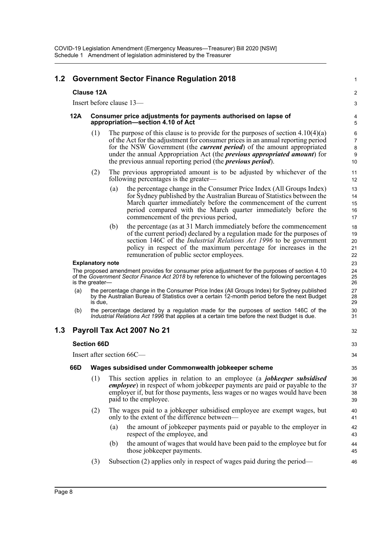| 1.2 |                          |                                                                                                     | <b>Government Sector Finance Regulation 2018</b> |                                                                                                                                                                                                                                                                                                                                                                                                                    | 1                          |  |
|-----|--------------------------|-----------------------------------------------------------------------------------------------------|--------------------------------------------------|--------------------------------------------------------------------------------------------------------------------------------------------------------------------------------------------------------------------------------------------------------------------------------------------------------------------------------------------------------------------------------------------------------------------|----------------------------|--|
|     |                          | <b>Clause 12A</b>                                                                                   |                                                  |                                                                                                                                                                                                                                                                                                                                                                                                                    | $\overline{c}$             |  |
|     | Insert before clause 13- |                                                                                                     |                                                  |                                                                                                                                                                                                                                                                                                                                                                                                                    |                            |  |
|     | 12A                      | Consumer price adjustments for payments authorised on lapse of<br>appropriation-section 4.10 of Act |                                                  |                                                                                                                                                                                                                                                                                                                                                                                                                    |                            |  |
|     |                          | (1)                                                                                                 |                                                  | The purpose of this clause is to provide for the purposes of section $4.10(4)(a)$<br>of the Act for the adjustment for consumer prices in an annual reporting period<br>for the NSW Government (the <i>current period</i> ) of the amount appropriated<br>under the annual Appropriation Act (the <i>previous appropriated amount</i> ) for<br>the previous annual reporting period (the <i>previous period</i> ). | 6<br>7<br>8<br>9<br>10     |  |
|     |                          | (2)                                                                                                 | following percentages is the greater—            | The previous appropriated amount is to be adjusted by whichever of the                                                                                                                                                                                                                                                                                                                                             | 11<br>12                   |  |
|     |                          |                                                                                                     | (a)<br>commencement of the previous period,      | the percentage change in the Consumer Price Index (All Groups Index)<br>for Sydney published by the Australian Bureau of Statistics between the<br>March quarter immediately before the commencement of the current<br>period compared with the March quarter immediately before the                                                                                                                               | 13<br>14<br>15<br>16<br>17 |  |
|     |                          |                                                                                                     | (b)<br>remuneration of public sector employees.  | the percentage (as at 31 March immediately before the commencement<br>of the current period) declared by a regulation made for the purposes of<br>section 146C of the <i>Industrial Relations Act 1996</i> to be government<br>policy in respect of the maximum percentage for increases in the                                                                                                                    | 18<br>19<br>20<br>21<br>22 |  |
|     | <b>Explanatory note</b>  |                                                                                                     |                                                  |                                                                                                                                                                                                                                                                                                                                                                                                                    |                            |  |
|     |                          | is the greater-                                                                                     |                                                  | The proposed amendment provides for consumer price adjustment for the purposes of section 4.10<br>of the Government Sector Finance Act 2018 by reference to whichever of the following percentages                                                                                                                                                                                                                 | 24<br>25<br>26             |  |
|     | (a)                      | is due,                                                                                             |                                                  | the percentage change in the Consumer Price Index (All Groups Index) for Sydney published<br>by the Australian Bureau of Statistics over a certain 12-month period before the next Budget                                                                                                                                                                                                                          | 27<br>28<br>29             |  |
|     | (b)                      |                                                                                                     |                                                  | the percentage declared by a regulation made for the purposes of section 146C of the<br>Industrial Relations Act 1996 that applies at a certain time before the next Budget is due.                                                                                                                                                                                                                                | 30<br>31                   |  |
| 1.3 |                          |                                                                                                     | Payroll Tax Act 2007 No 21                       |                                                                                                                                                                                                                                                                                                                                                                                                                    | 32                         |  |
|     |                          | <b>Section 66D</b>                                                                                  |                                                  |                                                                                                                                                                                                                                                                                                                                                                                                                    | 33                         |  |
|     |                          |                                                                                                     | Insert after section 66C-                        |                                                                                                                                                                                                                                                                                                                                                                                                                    | 34                         |  |
|     | 66D                      |                                                                                                     |                                                  | Wages subsidised under Commonwealth jobkeeper scheme                                                                                                                                                                                                                                                                                                                                                               | 35                         |  |
|     |                          | (1)                                                                                                 | paid to the employee.                            | This section applies in relation to an employee (a <i>jobkeeper subsidised</i><br><i>employee</i> ) in respect of whom jobkeeper payments are paid or payable to the<br>employer if, but for those payments, less wages or no wages would have been                                                                                                                                                                | 36<br>37<br>38<br>39       |  |
|     |                          | (2)                                                                                                 | only to the extent of the difference between—    | The wages paid to a jobkeeper subsidised employee are exempt wages, but                                                                                                                                                                                                                                                                                                                                            | 40<br>41                   |  |
|     |                          |                                                                                                     | (a)<br>respect of the employee, and              | the amount of jobkeeper payments paid or payable to the employer in                                                                                                                                                                                                                                                                                                                                                | 42<br>43                   |  |
|     |                          |                                                                                                     | (b)<br>those jobkeeper payments.                 | the amount of wages that would have been paid to the employee but for                                                                                                                                                                                                                                                                                                                                              | 44<br>45                   |  |
|     |                          | (3)                                                                                                 |                                                  | Subsection (2) applies only in respect of wages paid during the period—                                                                                                                                                                                                                                                                                                                                            | 46                         |  |
|     |                          |                                                                                                     |                                                  |                                                                                                                                                                                                                                                                                                                                                                                                                    |                            |  |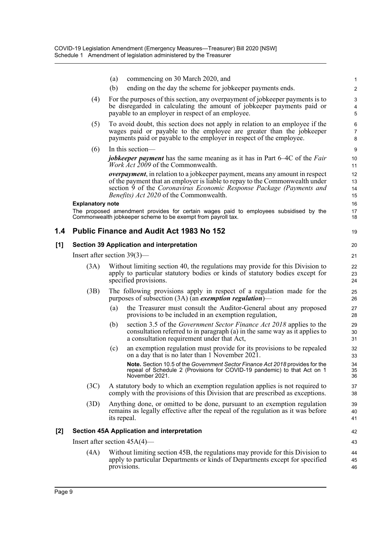|       |                         | commencing on 30 March 2020, and<br>(a)                                                                                                                                                                                                                                                 | 1                        |
|-------|-------------------------|-----------------------------------------------------------------------------------------------------------------------------------------------------------------------------------------------------------------------------------------------------------------------------------------|--------------------------|
|       |                         | (b)<br>ending on the day the scheme for jobkeeper payments ends.                                                                                                                                                                                                                        | $\overline{2}$           |
|       | (4)                     | For the purposes of this section, any overpayment of jobkeeper payments is to<br>be disregarded in calculating the amount of jobkeeper payments paid or<br>payable to an employer in respect of an employee.                                                                            | 3<br>4<br>5              |
|       | (5)                     | To avoid doubt, this section does not apply in relation to an employee if the<br>wages paid or payable to the employee are greater than the jobkeeper<br>payments paid or payable to the employer in respect of the employee.                                                           | 6<br>$\overline{7}$<br>8 |
|       | (6)                     | In this section-                                                                                                                                                                                                                                                                        | $\boldsymbol{9}$         |
|       |                         | <i>jobkeeper payment</i> has the same meaning as it has in Part 6–4C of the <i>Fair</i><br><i>Work Act 2009</i> of the Commonwealth.                                                                                                                                                    | 10<br>11                 |
|       |                         | <i>overpayment</i> , in relation to a jobkeeper payment, means any amount in respect<br>of the payment that an employer is liable to repay to the Commonwealth under<br>section 9 of the Coronavirus Economic Response Package (Payments and<br>Benefits) Act 2020 of the Commonwealth. | 12<br>13<br>14<br>15     |
|       | <b>Explanatory note</b> |                                                                                                                                                                                                                                                                                         | 16                       |
|       |                         | The proposed amendment provides for certain wages paid to employees subsidised by the<br>Commonwealth jobkeeper scheme to be exempt from payroll tax.                                                                                                                                   | 17<br>18                 |
| 1.4   |                         | <b>Public Finance and Audit Act 1983 No 152</b>                                                                                                                                                                                                                                         | 19                       |
| [1]   |                         | <b>Section 39 Application and interpretation</b>                                                                                                                                                                                                                                        | 20                       |
|       |                         | Insert after section $39(3)$ —                                                                                                                                                                                                                                                          | 21                       |
|       | (3A)                    | Without limiting section 40, the regulations may provide for this Division to<br>apply to particular statutory bodies or kinds of statutory bodies except for<br>specified provisions.                                                                                                  | 22<br>23<br>24           |
|       | (3B)                    | The following provisions apply in respect of a regulation made for the<br>purposes of subsection $(3A)$ (an <i>exemption regulation</i> )—                                                                                                                                              | 25<br>26                 |
|       |                         | (a)<br>the Treasurer must consult the Auditor-General about any proposed<br>provisions to be included in an exemption regulation,                                                                                                                                                       | 27<br>28                 |
|       |                         | section 3.5 of the <i>Government Sector Finance Act 2018</i> applies to the<br>(b)<br>consultation referred to in paragraph (a) in the same way as it applies to<br>a consultation requirement under that Act,                                                                          | 29<br>30<br>31           |
|       |                         | an exemption regulation must provide for its provisions to be repealed<br>(c)<br>on a day that is no later than 1 November 2021                                                                                                                                                         | 32<br>33                 |
|       |                         | Note. Section 10.5 of the Government Sector Finance Act 2018 provides for the<br>repeal of Schedule 2 (Provisions for COVID-19 pandemic) to that Act on 1<br>November 2021.                                                                                                             | 34<br>35<br>36           |
|       | (3C)                    | A statutory body to which an exemption regulation applies is not required to<br>comply with the provisions of this Division that are prescribed as exceptions.                                                                                                                          | 37<br>38                 |
|       | (3D)                    | Anything done, or omitted to be done, pursuant to an exemption regulation<br>remains as legally effective after the repeal of the regulation as it was before<br>its repeal.                                                                                                            | 39<br>40<br>41           |
| $[2]$ |                         | <b>Section 45A Application and interpretation</b>                                                                                                                                                                                                                                       | 42                       |
|       |                         | Insert after section $45A(4)$ —                                                                                                                                                                                                                                                         | 43                       |
|       | (4A)                    | Without limiting section 45B, the regulations may provide for this Division to<br>apply to particular Departments or kinds of Departments except for specified<br>provisions.                                                                                                           | 44<br>45<br>46           |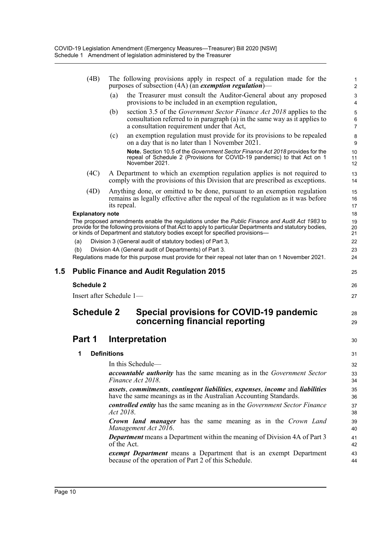|     | (4B)                    | The following provisions apply in respect of a regulation made for the<br>purposes of subsection $(4A)$ (an <i>exemption regulation</i> )—                                                                                                                                                 | 1<br>$\overline{2}$      |
|-----|-------------------------|--------------------------------------------------------------------------------------------------------------------------------------------------------------------------------------------------------------------------------------------------------------------------------------------|--------------------------|
|     |                         | (a)<br>the Treasurer must consult the Auditor-General about any proposed<br>provisions to be included in an exemption regulation,                                                                                                                                                          | 3<br>$\overline{4}$      |
|     |                         | section 3.5 of the <i>Government Sector Finance Act 2018</i> applies to the<br>(b)<br>consultation referred to in paragraph (a) in the same way as it applies to<br>a consultation requirement under that Act,                                                                             | 5<br>6<br>$\overline{7}$ |
|     |                         | an exemption regulation must provide for its provisions to be repealed<br>(c)<br>on a day that is no later than 1 November 2021.                                                                                                                                                           | 8<br>9                   |
|     |                         | Note. Section 10.5 of the Government Sector Finance Act 2018 provides for the<br>repeal of Schedule 2 (Provisions for COVID-19 pandemic) to that Act on 1<br>November 2021.                                                                                                                | 10<br>11<br>12           |
|     | (4C)                    | A Department to which an exemption regulation applies is not required to<br>comply with the provisions of this Division that are prescribed as exceptions.                                                                                                                                 | 13<br>14                 |
|     | (4D)                    | Anything done, or omitted to be done, pursuant to an exemption regulation<br>remains as legally effective after the repeal of the regulation as it was before<br>its repeal.                                                                                                               | 15<br>16<br>17           |
|     | <b>Explanatory note</b> |                                                                                                                                                                                                                                                                                            | 18                       |
|     |                         | The proposed amendments enable the regulations under the Public Finance and Audit Act 1983 to<br>provide for the following provisions of that Act to apply to particular Departments and statutory bodies,<br>or kinds of Department and statutory bodies except for specified provisions- | 19<br>20<br>21           |
|     | (a)                     | Division 3 (General audit of statutory bodies) of Part 3,                                                                                                                                                                                                                                  | 22                       |
|     | (b)                     | Division 4A (General audit of Departments) of Part 3.                                                                                                                                                                                                                                      | 23                       |
|     |                         | Regulations made for this purpose must provide for their repeal not later than on 1 November 2021.                                                                                                                                                                                         | 24                       |
| 1.5 |                         | <b>Public Finance and Audit Regulation 2015</b>                                                                                                                                                                                                                                            | 25                       |
|     | <b>Schedule 2</b>       |                                                                                                                                                                                                                                                                                            | 26                       |
|     |                         | Insert after Schedule 1-                                                                                                                                                                                                                                                                   | 27                       |
|     | <b>Schedule 2</b>       | Special provisions for COVID-19 pandemic<br>concerning financial reporting                                                                                                                                                                                                                 | 28<br>29                 |
|     | Part 1                  | Interpretation                                                                                                                                                                                                                                                                             | 30                       |
|     | 1                       | <b>Definitions</b>                                                                                                                                                                                                                                                                         | 31                       |
|     |                         | In this Schedule-                                                                                                                                                                                                                                                                          | 32                       |
|     |                         | <b>accountable authority</b> has the same meaning as in the Government Sector<br>Finance Act 2018.                                                                                                                                                                                         | 33<br>34                 |
|     |                         | assets, commitments, contingent liabilities, expenses, income and liabilities<br>have the same meanings as in the Australian Accounting Standards.                                                                                                                                         | 35<br>36                 |
|     |                         | <b>controlled entity</b> has the same meaning as in the Government Sector Finance                                                                                                                                                                                                          | 37<br>38                 |
|     |                         | Act 2018.                                                                                                                                                                                                                                                                                  |                          |
|     |                         | <b>Crown land manager</b> has the same meaning as in the Crown Land<br>Management Act 2016.                                                                                                                                                                                                | 39<br>40                 |
|     |                         | <b>Department</b> means a Department within the meaning of Division 4A of Part 3<br>of the Act.                                                                                                                                                                                            | 41<br>42                 |
|     |                         | <i>exempt Department</i> means a Department that is an exempt Department<br>because of the operation of Part 2 of this Schedule.                                                                                                                                                           | 43<br>44                 |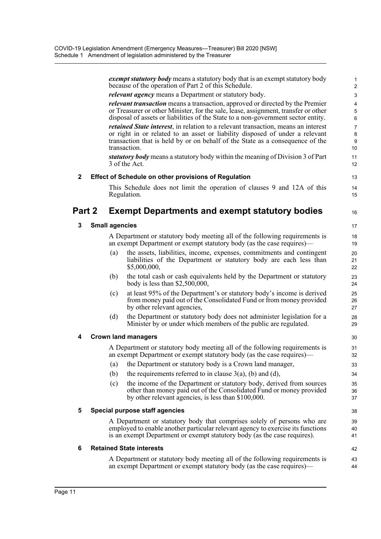|        |                       | <i>exempt statutory body</i> means a statutory body that is an exempt statutory body<br>because of the operation of Part 2 of this Schedule.                                                        | 1<br>$\overline{2}$     |
|--------|-----------------------|-----------------------------------------------------------------------------------------------------------------------------------------------------------------------------------------------------|-------------------------|
|        |                       | <i>relevant agency</i> means a Department or statutory body.                                                                                                                                        | $\mathsf 3$             |
|        |                       | <i>relevant transaction</i> means a transaction, approved or directed by the Premier                                                                                                                | $\overline{\mathbf{4}}$ |
|        |                       | or Treasurer or other Minister, for the sale, lease, assignment, transfer or other<br>disposal of assets or liabilities of the State to a non-government sector entity.                             | $\mathbf 5$<br>6        |
|        |                       | retained State interest, in relation to a relevant transaction, means an interest                                                                                                                   | $\overline{7}$          |
|        |                       | or right in or related to an asset or liability disposed of under a relevant<br>transaction that is held by or on behalf of the State as a consequence of the<br>transaction.                       | $\bf 8$<br>9<br>10      |
|        |                       | statutory body means a statutory body within the meaning of Division 3 of Part<br>3 of the Act.                                                                                                     | 11<br>12                |
| 2      |                       | <b>Effect of Schedule on other provisions of Regulation</b>                                                                                                                                         | 13                      |
|        |                       | This Schedule does not limit the operation of clauses 9 and 12A of this<br>Regulation.                                                                                                              | 14<br>15                |
| Part 2 |                       | <b>Exempt Departments and exempt statutory bodies</b>                                                                                                                                               | 16                      |
| 3      | <b>Small agencies</b> |                                                                                                                                                                                                     | 17                      |
|        |                       | A Department or statutory body meeting all of the following requirements is<br>an exempt Department or exempt statutory body (as the case requires)—                                                | 18<br>19                |
|        | (a)                   | the assets, liabilities, income, expenses, commitments and contingent<br>liabilities of the Department or statutory body are each less than<br>\$5,000,000,                                         | 20<br>21<br>22          |
|        | (b)                   | the total cash or cash equivalents held by the Department or statutory<br>body is less than $$2,500,000$ ,                                                                                          | 23<br>24                |
|        | (c)                   | at least 95% of the Department's or statutory body's income is derived<br>from money paid out of the Consolidated Fund or from money provided<br>by other relevant agencies,                        | 25<br>26<br>27          |
|        | (d)                   | the Department or statutory body does not administer legislation for a<br>Minister by or under which members of the public are regulated.                                                           | 28<br>29                |
| 4      |                       | <b>Crown land managers</b>                                                                                                                                                                          | 30                      |
|        |                       | A Department or statutory body meeting all of the following requirements is<br>an exempt Department or exempt statutory body (as the case requires)—                                                | 31<br>32                |
|        | (a)                   | the Department or statutory body is a Crown land manager,                                                                                                                                           | 33                      |
|        | (b)                   | the requirements referred to in clause $3(a)$ , (b) and (d),                                                                                                                                        | 34                      |
|        | (c)                   | the income of the Department or statutory body, derived from sources<br>other than money paid out of the Consolidated Fund or money provided<br>by other relevant agencies, is less than \$100,000. | 35<br>36<br>37          |
| 5      |                       | Special purpose staff agencies                                                                                                                                                                      | 38                      |
|        |                       | A Department or statutory body that comprises solely of persons who are                                                                                                                             | 39                      |
|        |                       | employed to enable another particular relevant agency to exercise its functions<br>is an exempt Department or exempt statutory body (as the case requires).                                         | 40<br>41                |
| 6      |                       | <b>Retained State interests</b>                                                                                                                                                                     | 42                      |
|        |                       | A Department or statutory body meeting all of the following requirements is<br>an exempt Department or exempt statutory body (as the case requires)—                                                | 43<br>44                |